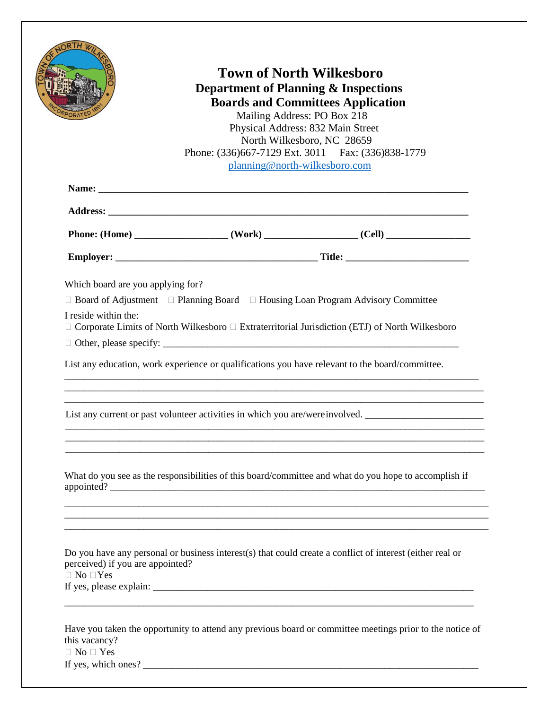| <b>Town of North Wilkesboro</b><br><b>Department of Planning &amp; Inspections</b><br><b>Boards and Committees Application</b><br>Mailing Address: PO Box 218<br>Physical Address: 832 Main Street<br>North Wilkesboro, NC 28659<br>Phone: (336)667-7129 Ext. 3011 Fax: (336)838-1779<br>planning@north-wilkesboro.com |  |                                                                                                       |  |
|------------------------------------------------------------------------------------------------------------------------------------------------------------------------------------------------------------------------------------------------------------------------------------------------------------------------|--|-------------------------------------------------------------------------------------------------------|--|
|                                                                                                                                                                                                                                                                                                                        |  |                                                                                                       |  |
|                                                                                                                                                                                                                                                                                                                        |  |                                                                                                       |  |
|                                                                                                                                                                                                                                                                                                                        |  |                                                                                                       |  |
|                                                                                                                                                                                                                                                                                                                        |  |                                                                                                       |  |
|                                                                                                                                                                                                                                                                                                                        |  | List any education, work experience or qualifications you have relevant to the board/committee.       |  |
|                                                                                                                                                                                                                                                                                                                        |  | List any current or past volunteer activities in which you are/were involved.                         |  |
|                                                                                                                                                                                                                                                                                                                        |  | What do you see as the responsibilities of this board/committee and what do you hope to accomplish if |  |

If yes, which ones? \_\_\_\_\_\_\_\_\_\_\_\_\_\_\_\_\_\_\_\_\_\_\_\_\_\_\_\_\_\_\_\_\_\_\_\_\_\_\_\_\_\_\_\_\_\_\_\_\_\_\_\_\_\_\_\_\_\_\_\_\_\_\_\_\_\_\_\_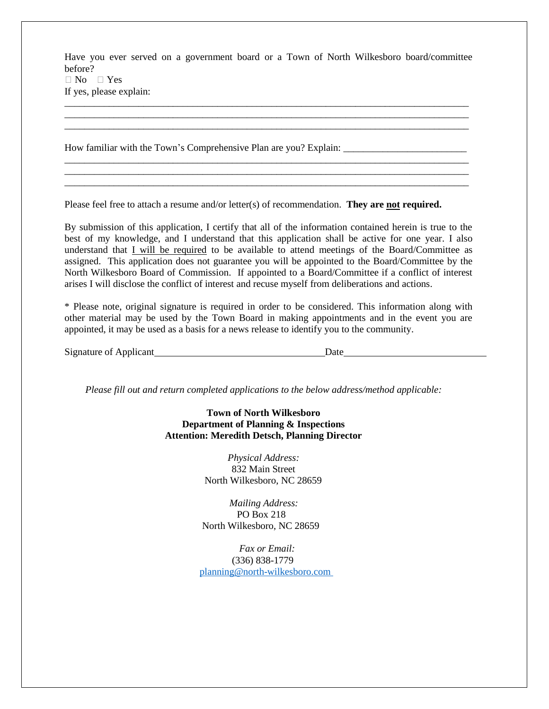Have you ever served on a government board or a Town of North Wilkesboro board/committee before?  $\Box$  No  $\Box$  Yes If yes, please explain:

\_\_\_\_\_\_\_\_\_\_\_\_\_\_\_\_\_\_\_\_\_\_\_\_\_\_\_\_\_\_\_\_\_\_\_\_\_\_\_\_\_\_\_\_\_\_\_\_\_\_\_\_\_\_\_\_\_\_\_\_\_\_\_\_\_\_\_\_\_\_\_\_\_\_\_\_\_\_\_\_\_\_ \_\_\_\_\_\_\_\_\_\_\_\_\_\_\_\_\_\_\_\_\_\_\_\_\_\_\_\_\_\_\_\_\_\_\_\_\_\_\_\_\_\_\_\_\_\_\_\_\_\_\_\_\_\_\_\_\_\_\_\_\_\_\_\_\_\_\_\_\_\_\_\_\_\_\_\_\_\_\_\_\_\_ \_\_\_\_\_\_\_\_\_\_\_\_\_\_\_\_\_\_\_\_\_\_\_\_\_\_\_\_\_\_\_\_\_\_\_\_\_\_\_\_\_\_\_\_\_\_\_\_\_\_\_\_\_\_\_\_\_\_\_\_\_\_\_\_\_\_\_\_\_\_\_\_\_\_\_\_\_\_\_\_\_\_

\_\_\_\_\_\_\_\_\_\_\_\_\_\_\_\_\_\_\_\_\_\_\_\_\_\_\_\_\_\_\_\_\_\_\_\_\_\_\_\_\_\_\_\_\_\_\_\_\_\_\_\_\_\_\_\_\_\_\_\_\_\_\_\_\_\_\_\_\_\_\_\_\_\_\_\_\_\_\_\_\_\_ \_\_\_\_\_\_\_\_\_\_\_\_\_\_\_\_\_\_\_\_\_\_\_\_\_\_\_\_\_\_\_\_\_\_\_\_\_\_\_\_\_\_\_\_\_\_\_\_\_\_\_\_\_\_\_\_\_\_\_\_\_\_\_\_\_\_\_\_\_\_\_\_\_\_\_\_\_\_\_\_\_\_ \_\_\_\_\_\_\_\_\_\_\_\_\_\_\_\_\_\_\_\_\_\_\_\_\_\_\_\_\_\_\_\_\_\_\_\_\_\_\_\_\_\_\_\_\_\_\_\_\_\_\_\_\_\_\_\_\_\_\_\_\_\_\_\_\_\_\_\_\_\_\_\_\_\_\_\_\_\_\_\_\_\_

How familiar with the Town's Comprehensive Plan are you? Explain:

Please feel free to attach a resume and/or letter(s) of recommendation. **They are not required.**

By submission of this application, I certify that all of the information contained herein is true to the best of my knowledge, and I understand that this application shall be active for one year. I also understand that *I will be required* to be available to attend meetings of the Board/Committee as assigned. This application does not guarantee you will be appointed to the Board/Committee by the North Wilkesboro Board of Commission. If appointed to a Board/Committee if a conflict of interest arises I will disclose the conflict of interest and recuse myself from deliberations and actions.

\* Please note, original signature is required in order to be considered. This information along with other material may be used by the Town Board in making appointments and in the event you are appointed, it may be used as a basis for a news release to identify you to the community.

| Signature of Applicant<br>__ | Jate |  |
|------------------------------|------|--|
|                              |      |  |

*Please fill out and return completed applications to the below address/method applicable:*

**Town of North Wilkesboro Department of Planning & Inspections Attention: Meredith Detsch, Planning Director**

> *Physical Address:* 832 Main Street North Wilkesboro, NC 28659

*Mailing Address:*  PO Box 218 North Wilkesboro, NC 28659

 *Fax or Email:* (336) 838-1779 [planning@north-wilkesboro.com](mailto:planning@north-wilkesboro.com)